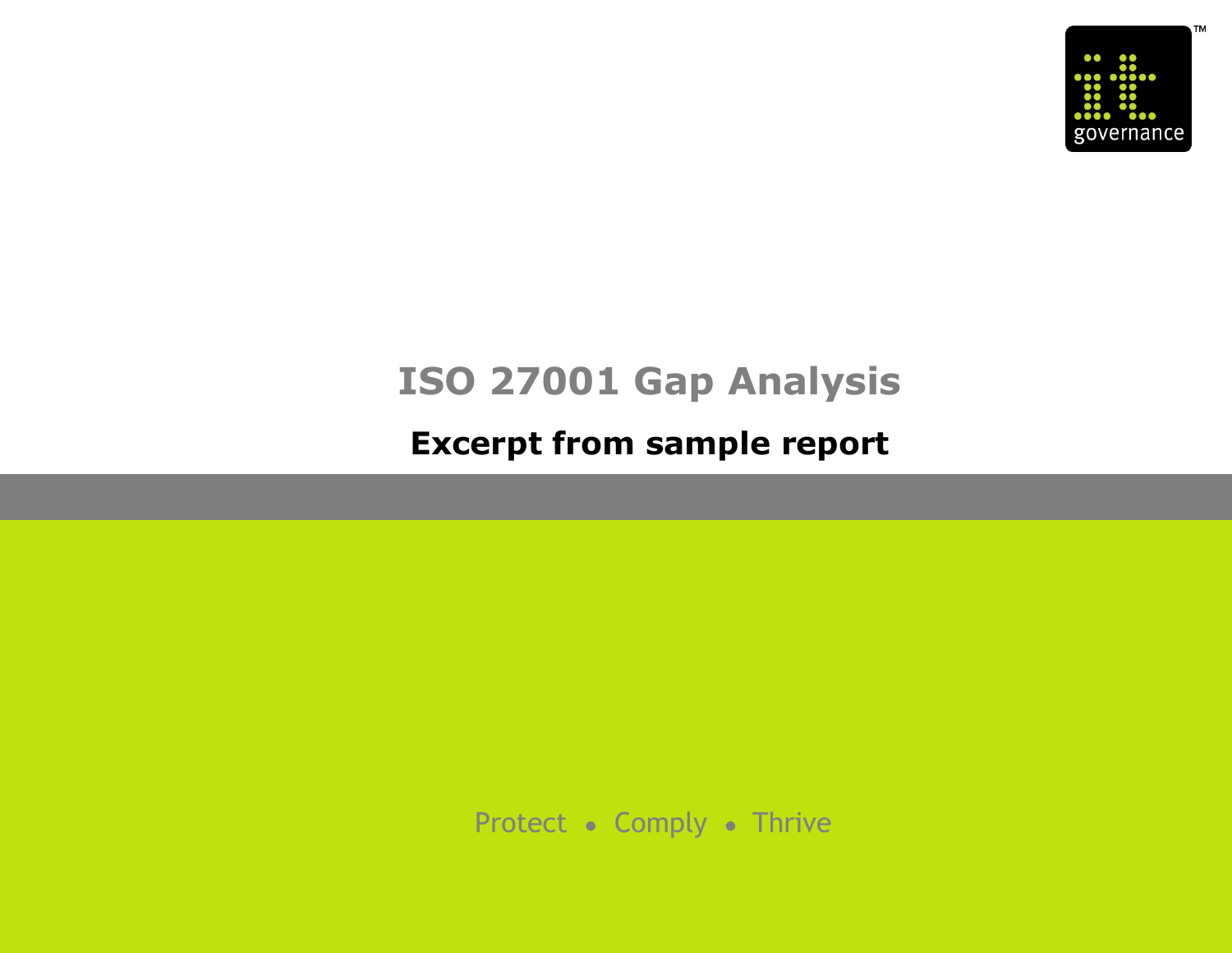

# **ISO 27001 Gap Analysis**

## **Excerpt from sample report**

Protect ● Comply ● Thrive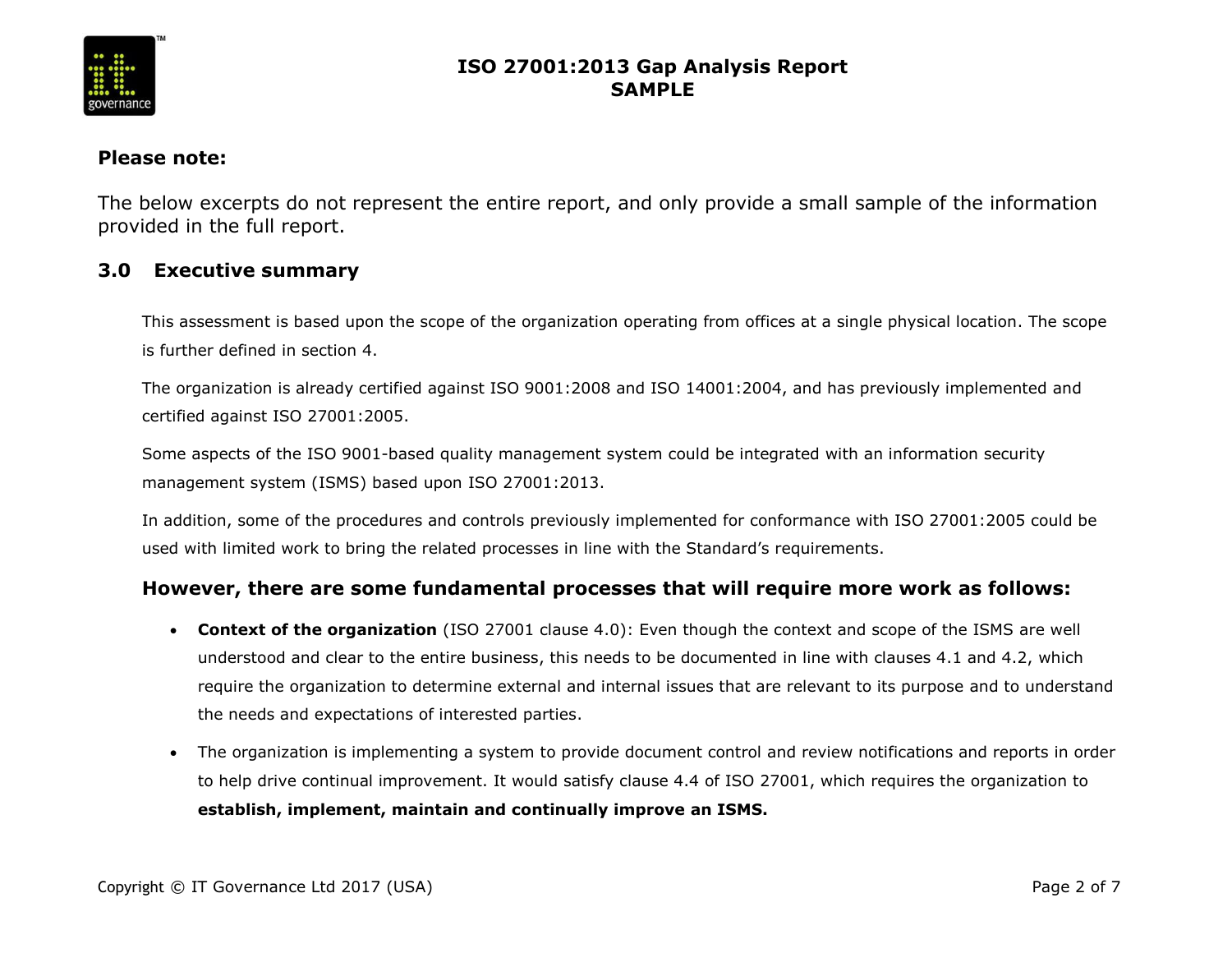

#### **Please note:**

The below excerpts do not represent the entire report, and only provide a small sample of the information provided in the full report.

#### **3.0 Executive summary**

This assessment is based upon the scope of the organization operating from offices at a single physical location. The scope is further defined in section 4.

The organization is already certified against ISO 9001:2008 and ISO 14001:2004, and has previously implemented and certified against ISO 27001:2005.

Some aspects of the ISO 9001-based quality management system could be integrated with an information security management system (ISMS) based upon ISO 27001:2013.

In addition, some of the procedures and controls previously implemented for conformance with ISO 27001:2005 could be used with limited work to bring the related processes in line with the Standard's requirements.

#### **However, there are some fundamental processes that will require more work as follows:**

- **Context of the organization** (ISO 27001 clause 4.0): Even though the context and scope of the ISMS are well understood and clear to the entire business, this needs to be documented in line with clauses 4.1 and 4.2, which require the organization to determine external and internal issues that are relevant to its purpose and to understand the needs and expectations of interested parties.
- The organization is implementing a system to provide document control and review notifications and reports in order to help drive continual improvement. It would satisfy clause 4.4 of ISO 27001, which requires the organization to **establish, implement, maintain and continually improve an ISMS.**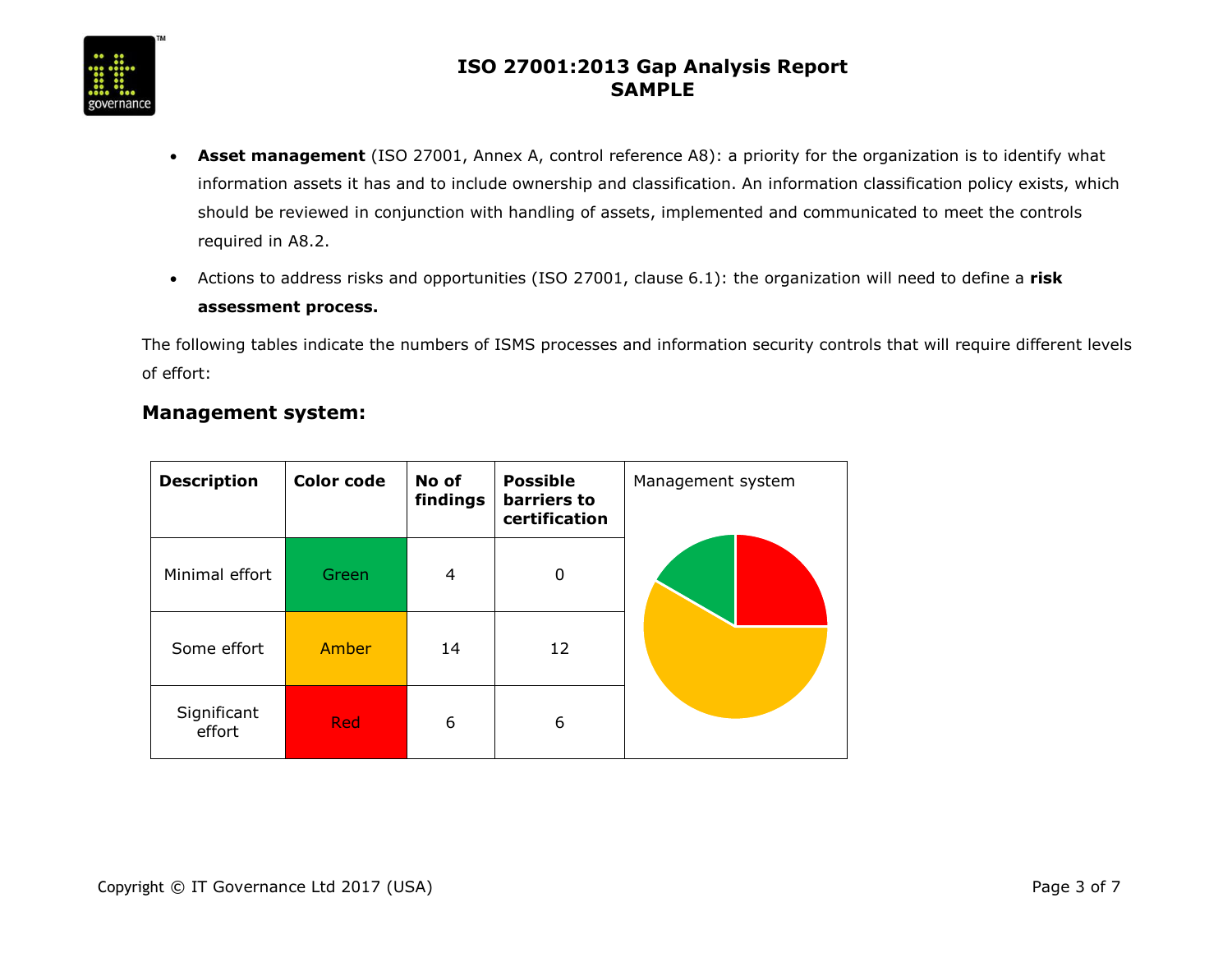

- **Asset management** (ISO 27001, Annex A, control reference A8): a priority for the organization is to identify what information assets it has and to include ownership and classification. An information classification policy exists, which should be reviewed in conjunction with handling of assets, implemented and communicated to meet the controls required in A8.2.
- Actions to address risks and opportunities (ISO 27001, clause 6.1): the organization will need to define a **risk assessment process.**

The following tables indicate the numbers of ISMS processes and information security controls that will require different levels of effort:

#### **Management system:**

| <b>Description</b>    | <b>Color code</b> | No of<br>findings | <b>Possible</b><br>barriers to<br>certification | Management system |
|-----------------------|-------------------|-------------------|-------------------------------------------------|-------------------|
| Minimal effort        | Green             | 4                 | 0                                               |                   |
| Some effort           | Amber             | 14                | 12                                              |                   |
| Significant<br>effort | <b>Red</b>        | 6                 | 6                                               |                   |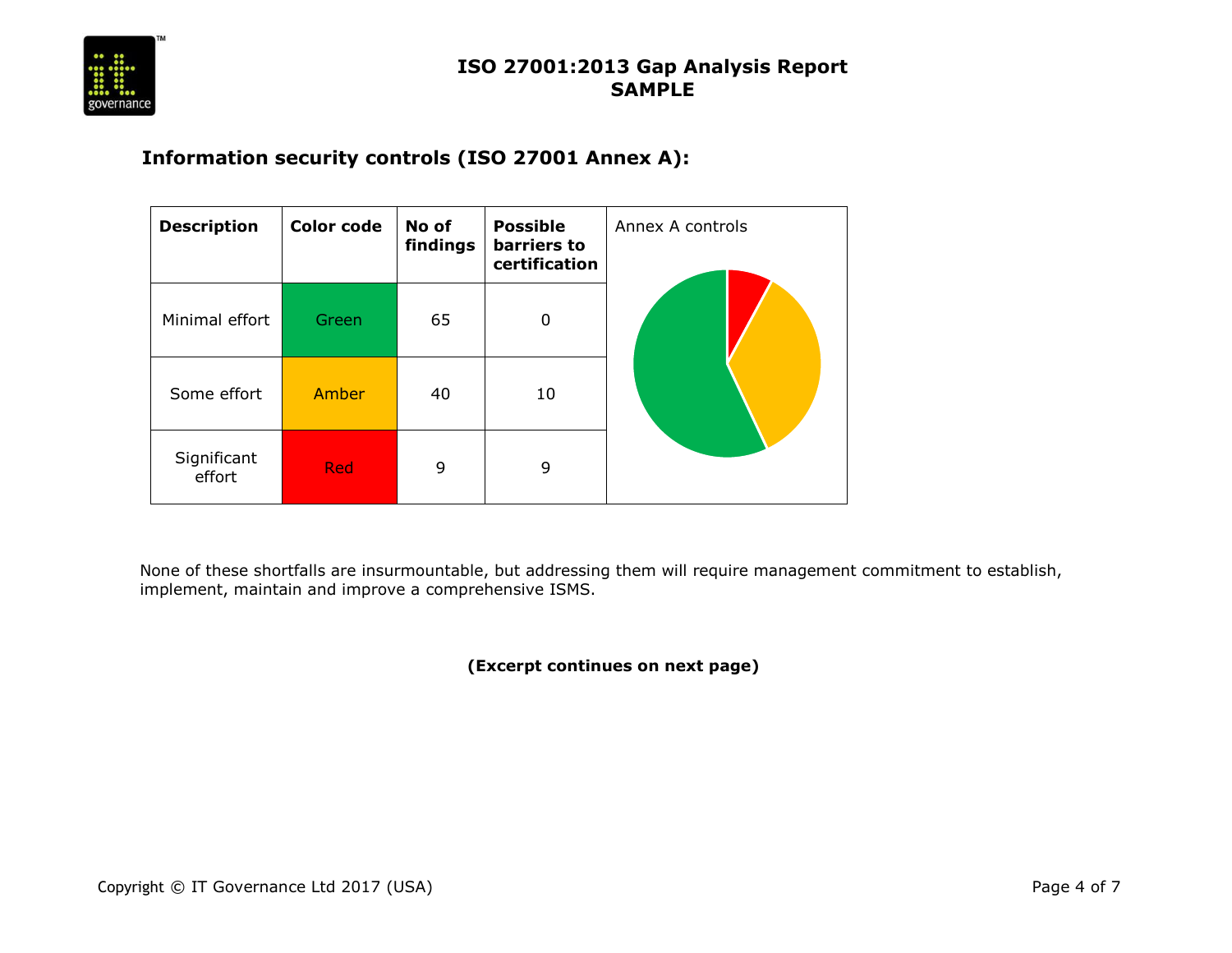

#### **Information security controls (ISO 27001 Annex A):**

| <b>Description</b>    | <b>Color code</b> | No of<br>findings | <b>Possible</b><br>barriers to<br>certification | Annex A controls |
|-----------------------|-------------------|-------------------|-------------------------------------------------|------------------|
| Minimal effort        | Green             | 65                | 0                                               |                  |
| Some effort           | Amber             | 40                | 10                                              |                  |
| Significant<br>effort | <b>Red</b>        | 9                 | 9                                               |                  |

None of these shortfalls are insurmountable, but addressing them will require management commitment to establish, implement, maintain and improve a comprehensive ISMS.

**(Excerpt continues on next page)**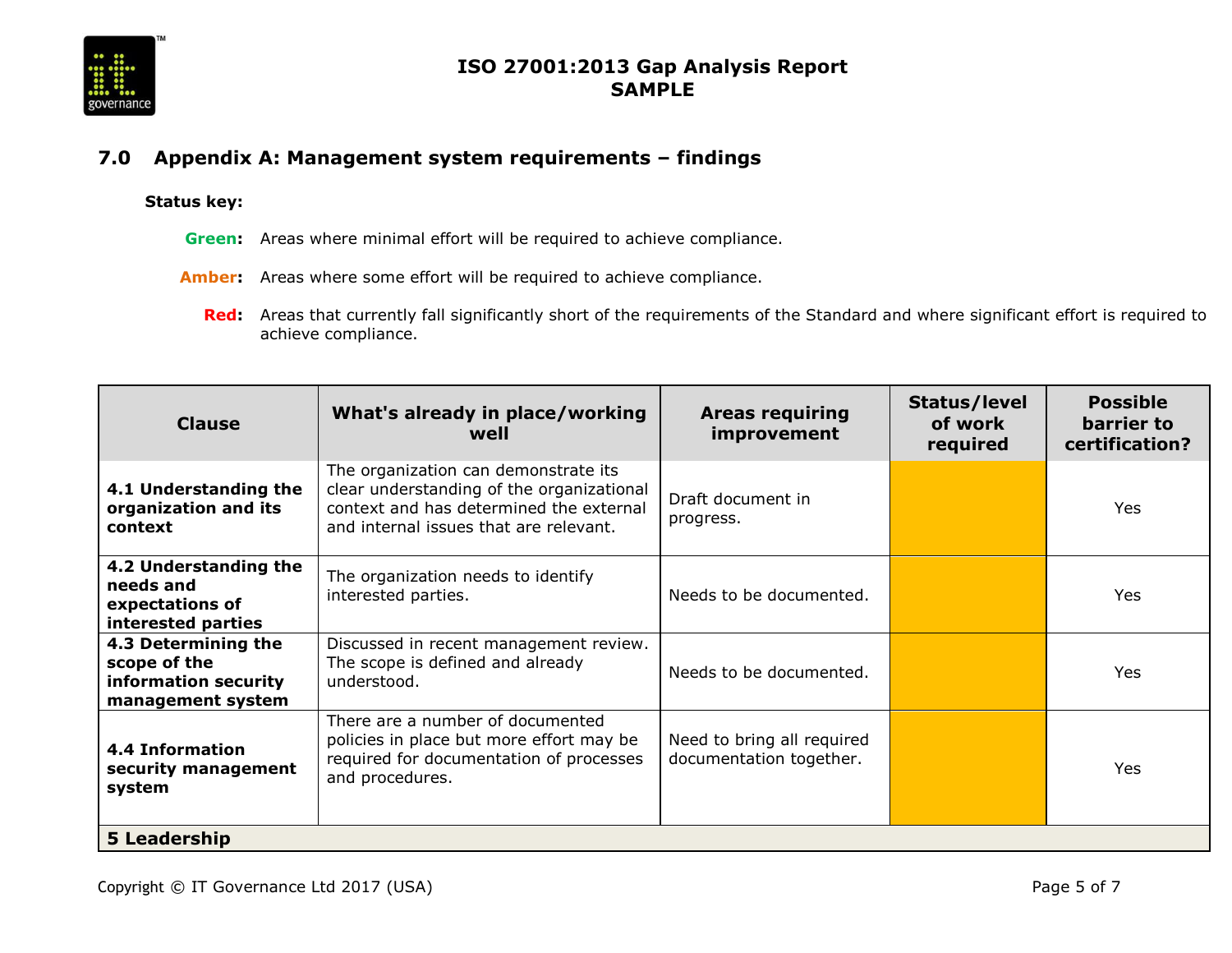

#### **7.0 Appendix A: Management system requirements – findings**

#### **Status key:**

- **Green:** Areas where minimal effort will be required to achieve compliance.
- **Amber:** Areas where some effort will be required to achieve compliance.
	- **Red:** Areas that currently fall significantly short of the requirements of the Standard and where significant effort is required to achieve compliance.

| <b>Clause</b>                                                                    | What's already in place/working<br>well                                                                                                                                | <b>Areas requiring</b><br>improvement                 | Status/level<br>of work<br>required | <b>Possible</b><br>barrier to<br>certification? |
|----------------------------------------------------------------------------------|------------------------------------------------------------------------------------------------------------------------------------------------------------------------|-------------------------------------------------------|-------------------------------------|-------------------------------------------------|
| 4.1 Understanding the<br>organization and its<br>context                         | The organization can demonstrate its<br>clear understanding of the organizational<br>context and has determined the external<br>and internal issues that are relevant. | Draft document in<br>progress.                        |                                     | <b>Yes</b>                                      |
| 4.2 Understanding the<br>needs and<br>expectations of<br>interested parties      | The organization needs to identify<br>interested parties.                                                                                                              | Needs to be documented.                               |                                     | Yes                                             |
| 4.3 Determining the<br>scope of the<br>information security<br>management system | Discussed in recent management review.<br>The scope is defined and already<br>understood.                                                                              | Needs to be documented.                               |                                     | Yes                                             |
| <b>4.4 Information</b><br>security management<br>system                          | There are a number of documented<br>policies in place but more effort may be<br>required for documentation of processes<br>and procedures.                             | Need to bring all required<br>documentation together. |                                     | <b>Yes</b>                                      |
| 5 Leadership                                                                     |                                                                                                                                                                        |                                                       |                                     |                                                 |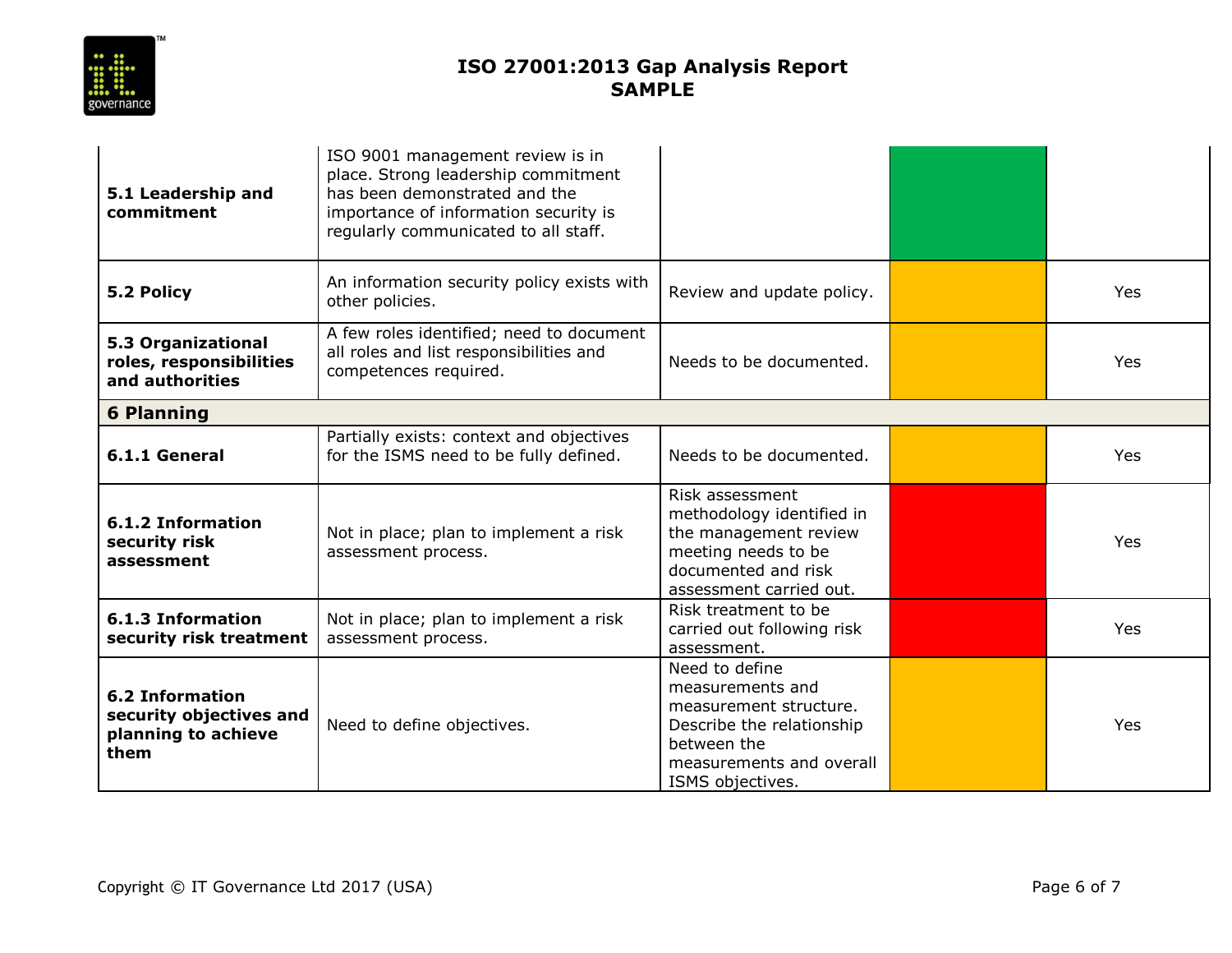

| 5.1 Leadership and<br>commitment                                                 | ISO 9001 management review is in<br>place. Strong leadership commitment<br>has been demonstrated and the<br>importance of information security is<br>regularly communicated to all staff. |                                                                                                                                                          |     |
|----------------------------------------------------------------------------------|-------------------------------------------------------------------------------------------------------------------------------------------------------------------------------------------|----------------------------------------------------------------------------------------------------------------------------------------------------------|-----|
| 5.2 Policy                                                                       | An information security policy exists with<br>other policies.                                                                                                                             | Review and update policy.                                                                                                                                | Yes |
| 5.3 Organizational<br>roles, responsibilities<br>and authorities                 | A few roles identified; need to document<br>all roles and list responsibilities and<br>competences required.                                                                              | Needs to be documented.                                                                                                                                  | Yes |
| <b>6 Planning</b>                                                                |                                                                                                                                                                                           |                                                                                                                                                          |     |
| 6.1.1 General                                                                    | Partially exists: context and objectives<br>for the ISMS need to be fully defined.                                                                                                        | Needs to be documented.                                                                                                                                  | Yes |
| 6.1.2 Information<br>security risk<br>assessment                                 | Not in place; plan to implement a risk<br>assessment process.                                                                                                                             | Risk assessment<br>methodology identified in<br>the management review<br>meeting needs to be<br>documented and risk<br>assessment carried out.           | Yes |
| 6.1.3 Information<br>security risk treatment                                     | Not in place; plan to implement a risk<br>assessment process.                                                                                                                             | Risk treatment to be<br>carried out following risk<br>assessment.                                                                                        | Yes |
| <b>6.2 Information</b><br>security objectives and<br>planning to achieve<br>them | Need to define objectives.                                                                                                                                                                | Need to define<br>measurements and<br>measurement structure.<br>Describe the relationship<br>between the<br>measurements and overall<br>ISMS objectives. | Yes |